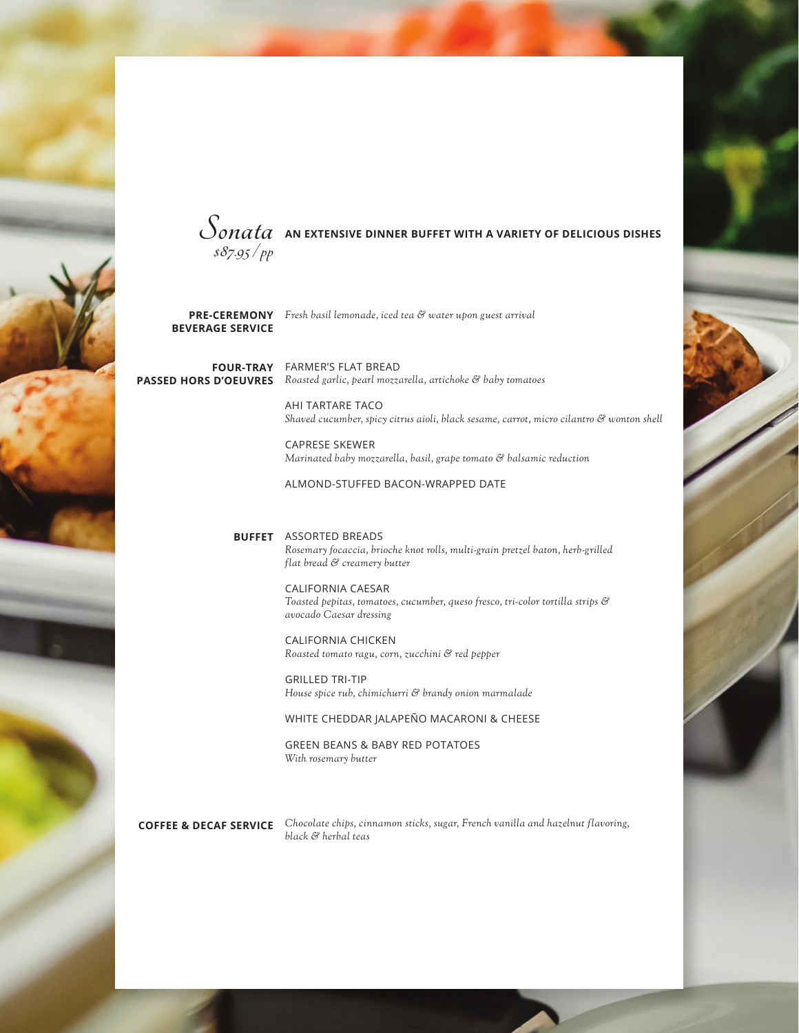

 $\mathcal{S}_{onata}$  an extensive dinner buffet with a variety of delicious dishes **\$87.95 / pp** 

**BEVERAGE SERVICE**

*Fresh basil lemonade, iced tea & water upon guest arrival* **PRE-CEREMONY**

**FOUR-TRAY** FARMER'S FLAT BREAD *Roasted garlic, pearl mozzarella, artichoke & baby tomatoes* **PASSED HORS D'OEUVRES**

> AHI TARTARE TACO *Shaved cucumber, spicy citrus aioli, black sesame, carrot, micro cilantro & wonton shell*

CAPRESE SKEWER *Marinated baby mozzarella, basil, grape tomato & balsamic reduction* 

ALMOND-STUFFED BACON-WRAPPED DATE

ASSORTED BREADS **BUFFET** *Rosemary focaccia, brioche knot rolls, multi-grain pretzel baton, herb-grilled flat bread & creamery butter*

> CALIFORNIA CAESAR *Toasted pepitas, tomatoes, cucumber, queso fresco, tri-color tortilla strips & avocado Caesar dressing*

CALIFORNIA CHICKEN *Roasted tomato ragu, corn, zucchini & red pepper* 

GRILLED TRI-TIP *House spice rub, chimichurri & brandy onion marmalade* 

WHITE CHEDDAR JALAPEÑO MACARONI & CHEESE

GREEN BEANS & BABY RED POTATOES *With rosemary butter*

*Chocolate chips, cinnamon sticks, sugar, French vanilla and hazelnut flavoring,*  **COFFEE & DECAF SERVICE** *black & herbal teas*